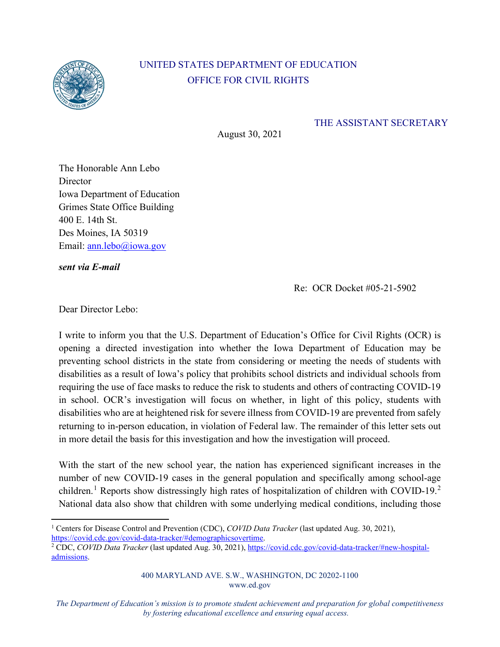

## UNITED STATES DEPARTMENT OF EDUCATION OFFICE FOR CIVIL RIGHTS

THE ASSISTANT SECRETARY

August 30, 2021

The Honorable Ann Lebo **Director** Iowa Department of Education Grimes State Office Building 400 E. 14th St. Des Moines, IA 50319 Email: ann.lebo@iowa.gov

*sent via E-mail*

Re: OCR Docket #05-21-5902

Dear Director Lebo:

I write to inform you that the U.S. Department of Education's Office for Civil Rights (OCR) is opening a directed investigation into whether the Iowa Department of Education may be preventing school districts in the state from considering or meeting the needs of students with disabilities as a result of Iowa's policy that prohibits school districts and individual schools from requiring the use of face masks to reduce the risk to students and others of contracting COVID-19 in school. OCR's investigation will focus on whether, in light of this policy, students with disabilities who are at heightened risk for severe illness from COVID-19 are prevented from safely returning to in-person education, in violation of Federal law. The remainder of this letter sets out in more detail the basis for this investigation and how the investigation will proceed.

With the start of the new school year, the nation has experienced significant increases in the number of new COVID-19 cases in the general population and specifically among school-age children.<sup>1</sup> Reports show distressingly high rates of hospitalization of children with COVID-19.<sup>2</sup> National data also show that children with some underlying medical conditions, including those

<sup>&</sup>lt;sup>1</sup> Centers for Disease Control and Prevention (CDC), *COVID Data Tracker* (last updated Aug. 30, 2021), https://covid.cdc.gov/covid-data-tracker/#demographicsovertime.

<sup>&</sup>lt;sup>2</sup> CDC, *COVID Data Tracker* (last updated Aug. 30, 2021), https://covid.cdc.gov/covid-data-tracker/#new-hospitaladmissions.

<sup>400</sup> MARYLAND AVE. S.W., WASHINGTON, DC 20202-1100 www.ed.gov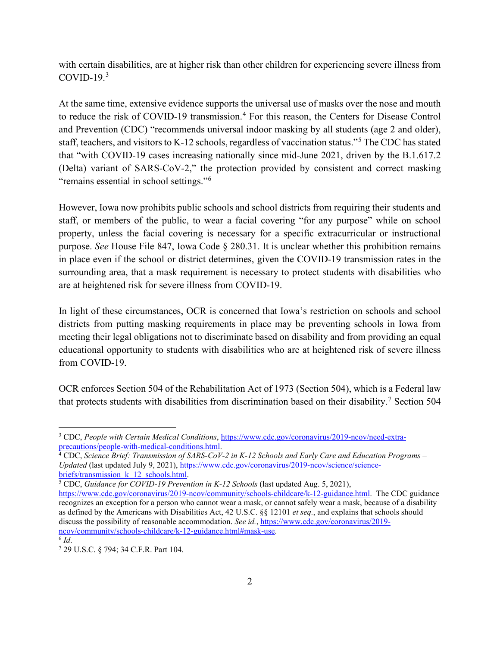with certain disabilities, are at higher risk than other children for experiencing severe illness from  $COVID-19.<sup>3</sup>$ 

At the same time, extensive evidence supports the universal use of masks over the nose and mouth to reduce the risk of COVID-19 transmission.<sup>4</sup> For this reason, the Centers for Disease Control and Prevention (CDC) "recommends universal indoor masking by all students (age 2 and older), staff, teachers, and visitors to K-12 schools, regardless of vaccination status."<sup>5</sup> The CDC has stated that "with COVID-19 cases increasing nationally since mid-June 2021, driven by the B.1.617.2 (Delta) variant of SARS-CoV-2," the protection provided by consistent and correct masking "remains essential in school settings."<sup>6</sup>

However, Iowa now prohibits public schools and school districts from requiring their students and staff, or members of the public, to wear a facial covering "for any purpose" while on school property, unless the facial covering is necessary for a specific extracurricular or instructional purpose. *See* House File 847, Iowa Code § 280.31. It is unclear whether this prohibition remains in place even if the school or district determines, given the COVID-19 transmission rates in the surrounding area, that a mask requirement is necessary to protect students with disabilities who are at heightened risk for severe illness from COVID-19.

In light of these circumstances, OCR is concerned that Iowa's restriction on schools and school districts from putting masking requirements in place may be preventing schools in Iowa from meeting their legal obligations not to discriminate based on disability and from providing an equal educational opportunity to students with disabilities who are at heightened risk of severe illness from COVID-19.

OCR enforces Section 504 of the Rehabilitation Act of 1973 (Section 504), which is a Federal law that protects students with disabilities from discrimination based on their disability.<sup>7</sup> Section 504

<sup>3</sup> CDC, *People with Certain Medical Conditions*, https://www.cdc.gov/coronavirus/2019-ncov/need-extraprecautions/people-with-medical-conditions.html. 4 CDC, *Science Brief: Transmission of SARS-CoV-2 in K-12 Schools and Early Care and Education Programs –* 

*Updated* (last updated July 9, 2021), https://www.cdc.gov/coronavirus/2019-ncov/science/sciencebriefs/transmission\_k\_12\_schools.html. 5 CDC, *Guidance for COVID-19 Prevention in K-12 Schools* (last updated Aug. 5, 2021),

https://www.cdc.gov/coronavirus/2019-ncov/community/schools-childcare/k-12-guidance.html. The CDC guidance recognizes an exception for a person who cannot wear a mask, or cannot safely wear a mask, because of a disability as defined by the Americans with Disabilities Act, 42 U.S.C. §§ 12101 *et seq.*, and explains that schools should discuss the possibility of reasonable accommodation. *See id.*, https://www.cdc.gov/coronavirus/2019 ncov/community/schools-childcare/k-12-guidance.html#mask-use.<br>
<sup>6</sup> *Id*. 7 29 U.S.C. § 794; 34 C.F.R. Part 104.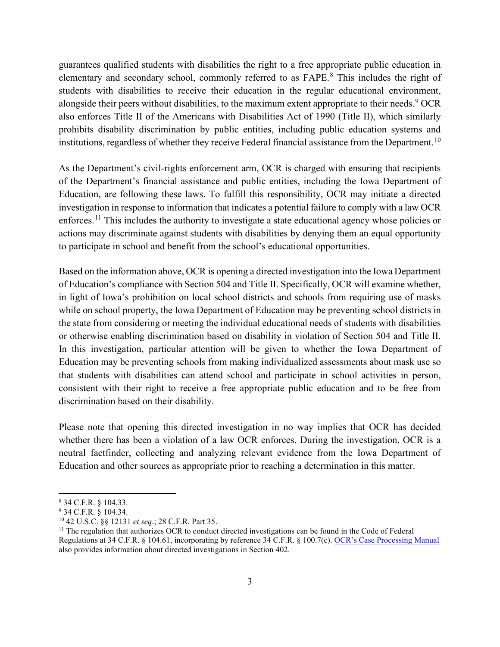guarantees qualified students with disabilities the right to a free appropriate public education in elementary and secondary school, commonly referred to as FAPE.<sup>8</sup> This includes the right of students with disabilities to receive their education in the regular educational environment, alongside their peers without disabilities, to the maximum extent appropriate to their needs.<sup>9</sup> OCR also enforces Title II of the Americans with Disabilities Act of 1990 (Title II), which similarly prohibits disability discrimination by public entities, including public education systems and institutions, regardless of whether they receive Federal financial assistance from the Department.<sup>10</sup>

As the Department's civil-rights enforcement arm, OCR is charged with ensuring that recipients of the Department's financial assistance and public entities, including the Iowa Department of Education, are following these laws. To fulfill this responsibility, OCR may initiate a directed investigation in response to information that indicates a potential failure to comply with a law OCR enforces.<sup>11</sup> This includes the authority to investigate a state educational agency whose policies or actions may discriminate against students with disabilities by denying them an equal opportunity to participate in school and benefit from the school's educational opportunities.

Based on the information above, OCR is opening a directed investigation into the Iowa Department of Education's compliance with Section 504 and Title II. Specifically, OCR will examine whether, in light of Iowa's prohibition on local school districts and schools from requiring use of masks while on school property, the Iowa Department of Education may be preventing school districts in the state from considering or meeting the individual educational needs of students with disabilities or otherwise enabling discrimination based on disability in violation of Section 504 and Title II. In this investigation, particular attention will be given to whether the Iowa Department of Education may be preventing schools from making individualized assessments about mask use so that students with disabilities can attend school and participate in school activities in person, consistent with their right to receive a free appropriate public education and to be free from discrimination based on their disability.

Please note that opening this directed investigation in no way implies that OCR has decided whether there has been a violation of a law OCR enforces. During the investigation, OCR is a neutral factfinder, collecting and analyzing relevant evidence from the Iowa Department of Education and other sources as appropriate prior to reaching a determination in this matter.

<sup>8</sup> 34 C.F.R. § 104.33.

<sup>&</sup>lt;sup>9</sup> 34 C.F.R.  $\hat{\S}$  104.34.<br><sup>10</sup> 42 U.S.C.  $\hat{\S}\$  12131 *et seq.*; 28 C.F.R. Part 35.

<sup>&</sup>lt;sup>11</sup> The regulation that authorizes OCR to conduct directed investigations can be found in the Code of Federal Regulations at 34 C.F.R. § 104.61, incorporating by reference 34 C.F.R. § 100.7(c). OCR's Case Processing Manual also provides information about directed investigations in Section 402.